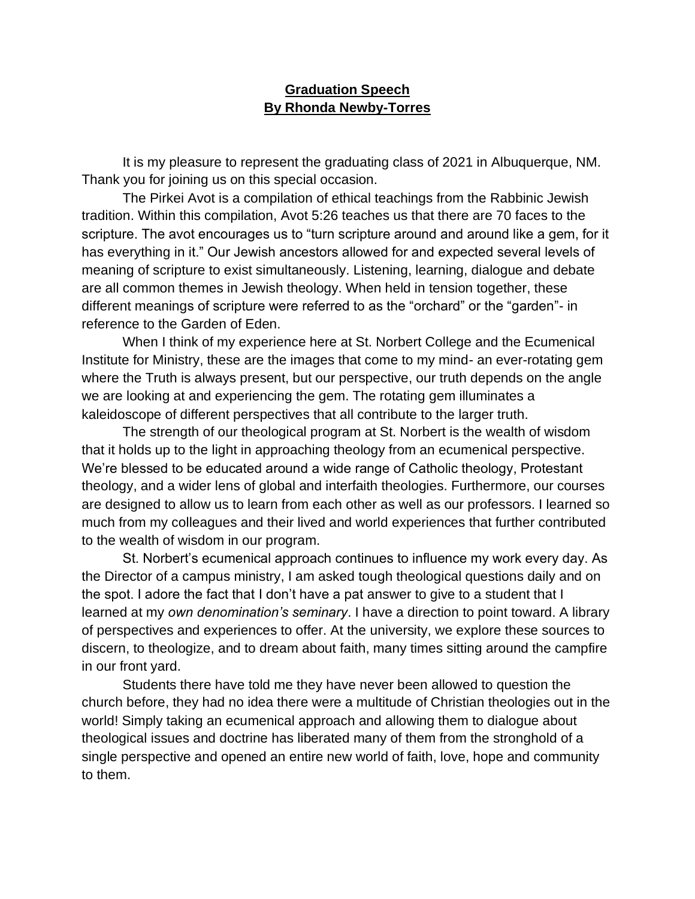## **Graduation Speech By Rhonda Newby-Torres**

It is my pleasure to represent the graduating class of 2021 in Albuquerque, NM. Thank you for joining us on this special occasion.

The Pirkei Avot is a compilation of ethical teachings from the Rabbinic Jewish tradition. Within this compilation, Avot 5:26 teaches us that there are 70 faces to the scripture. The avot encourages us to "turn scripture around and around like a gem, for it has everything in it." Our Jewish ancestors allowed for and expected several levels of meaning of scripture to exist simultaneously. Listening, learning, dialogue and debate are all common themes in Jewish theology. When held in tension together, these different meanings of scripture were referred to as the "orchard" or the "garden"- in reference to the Garden of Eden.

When I think of my experience here at St. Norbert College and the Ecumenical Institute for Ministry, these are the images that come to my mind- an ever-rotating gem where the Truth is always present, but our perspective, our truth depends on the angle we are looking at and experiencing the gem. The rotating gem illuminates a kaleidoscope of different perspectives that all contribute to the larger truth.

The strength of our theological program at St. Norbert is the wealth of wisdom that it holds up to the light in approaching theology from an ecumenical perspective. We're blessed to be educated around a wide range of Catholic theology, Protestant theology, and a wider lens of global and interfaith theologies. Furthermore, our courses are designed to allow us to learn from each other as well as our professors. I learned so much from my colleagues and their lived and world experiences that further contributed to the wealth of wisdom in our program.

St. Norbert's ecumenical approach continues to influence my work every day. As the Director of a campus ministry, I am asked tough theological questions daily and on the spot. I adore the fact that I don't have a pat answer to give to a student that I learned at my *own denomination's seminary*. I have a direction to point toward. A library of perspectives and experiences to offer. At the university, we explore these sources to discern, to theologize, and to dream about faith, many times sitting around the campfire in our front yard.

Students there have told me they have never been allowed to question the church before, they had no idea there were a multitude of Christian theologies out in the world! Simply taking an ecumenical approach and allowing them to dialogue about theological issues and doctrine has liberated many of them from the stronghold of a single perspective and opened an entire new world of faith, love, hope and community to them.